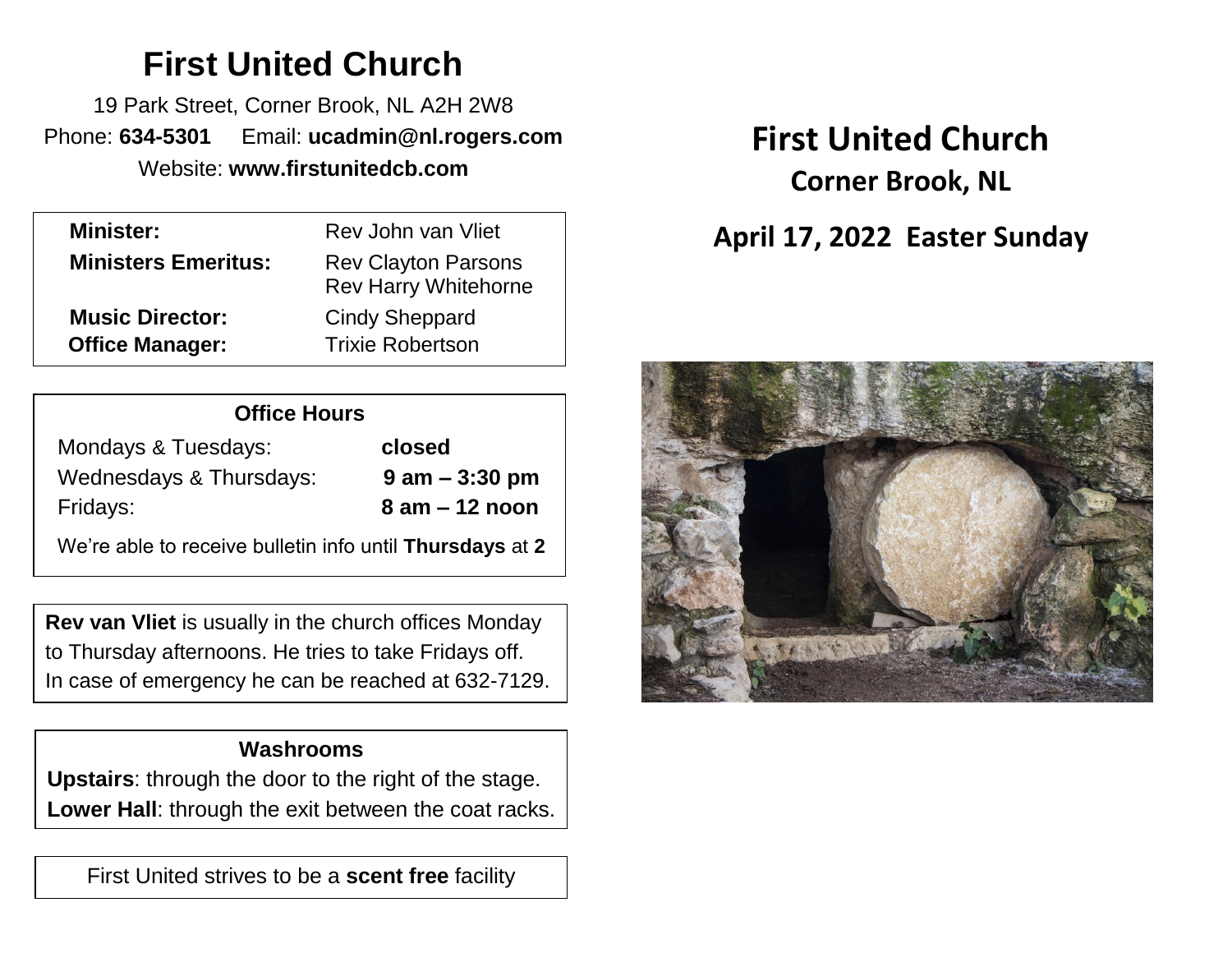# **First United Church**

19 Park Street, Corner Brook, NL A2H 2W8 Phone: **634-5301** Email: **ucadmin@nl.rogers.com** Website: **www.firstunitedcb.com**

| <b>Minister:</b>           | Rev John van Vliet                                        |
|----------------------------|-----------------------------------------------------------|
| <b>Ministers Emeritus:</b> | <b>Rev Clayton Parsons</b><br><b>Rev Harry Whitehorne</b> |
| <b>Music Director:</b>     | <b>Cindy Sheppard</b>                                     |
| <b>Office Manager:</b>     | <b>Trixie Robertson</b>                                   |
|                            |                                                           |

| <b>Office Hours</b>     |                    |  |  |
|-------------------------|--------------------|--|--|
| Mondays & Tuesdays:     | closed             |  |  |
| Wednesdays & Thursdays: | $9$ am $-$ 3:30 pm |  |  |
| Fridays:                | $8$ am $-12$ noon  |  |  |
|                         |                    |  |  |

We're able to receive bulletin info until **Thursdays** at **2**

**Rev van Vliet** is usually in the church offices Monday to Thursday afternoons. He tries to take Fridays off. In case of emergency he can be reached at 632-7129.

# **Washrooms**

**Upstairs**: through the door to the right of the stage. **Lower Hall**: through the exit between the coat racks.

First United strives to be a **scent free** facility

# **First United Church Corner Brook, NL**

# **April 17, 2022 Easter Sunday**

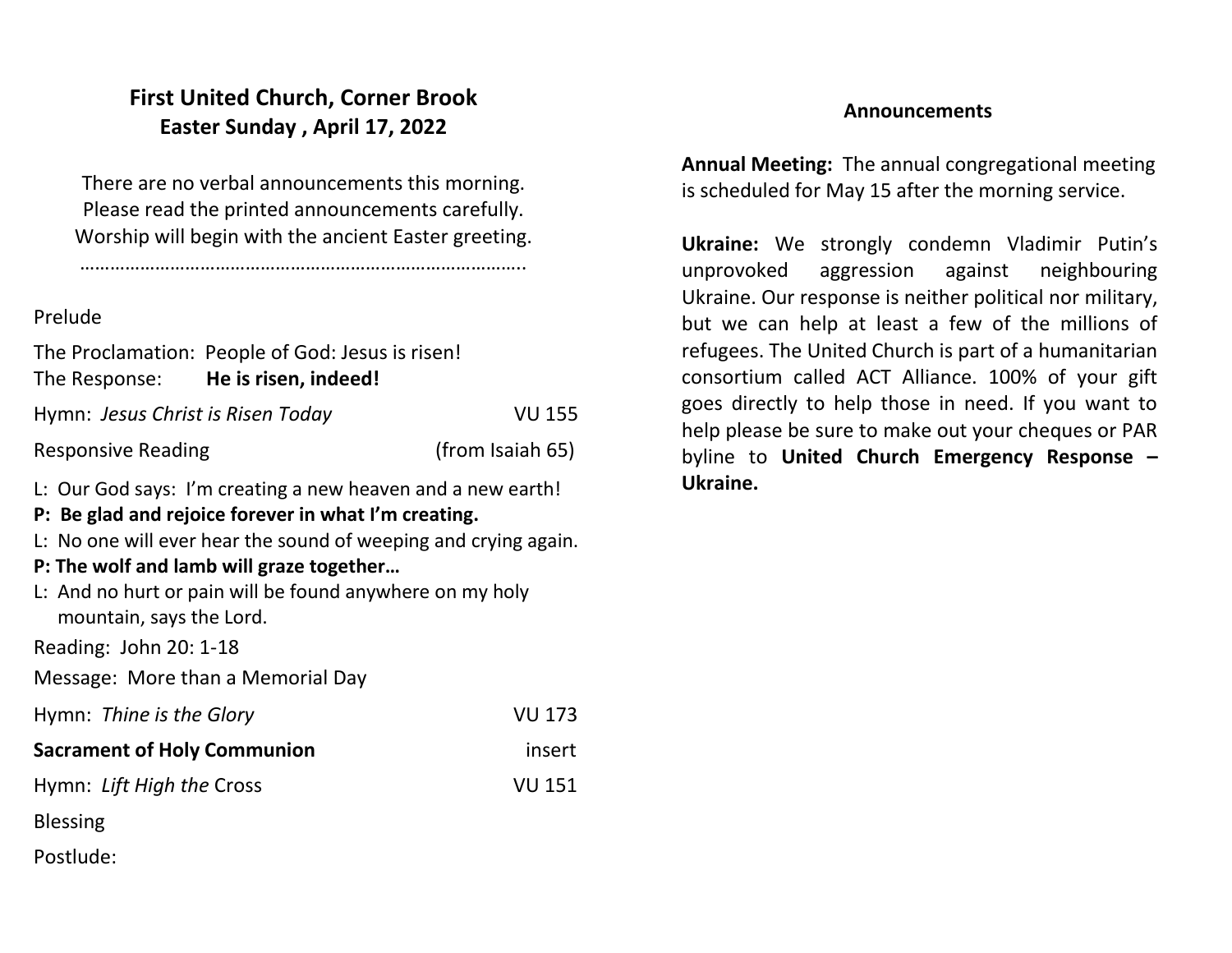# **First United Church, Corner Brook Easter Sunday , April 17, 2022**

There are no verbal announcements this morning. Please read the printed announcements carefully. Worship will begin with the ancient Easter greeting.

……………………………………………………………………………..

#### Prelude

|                                   | The Proclamation: People of God: Jesus is risen! |                  |
|-----------------------------------|--------------------------------------------------|------------------|
| The Response:                     | He is risen, indeed!                             |                  |
| Hymn: Jesus Christ is Risen Today |                                                  | <b>VU 155</b>    |
| <b>Responsive Reading</b>         |                                                  | (from Isaiah 65) |

L: Our God says: I'm creating a new heaven and a new earth!

## **P: Be glad and rejoice forever in what I'm creating.**

L: No one will ever hear the sound of weeping and crying again.

## **P: The wolf and lamb will graze together…**

L: And no hurt or pain will be found anywhere on my holy mountain, says the Lord.

Reading: John 20: 1-18

Message: More than a Memorial Day

| Hymn: Thine is the Glory           | <b>VU 173</b> |
|------------------------------------|---------------|
| <b>Sacrament of Holy Communion</b> | insert        |
| Hymn: Lift High the Cross          | <b>VU 151</b> |
| <b>Blessing</b>                    |               |
| Postlude:                          |               |

#### **Announcements**

**Annual Meeting:** The annual congregational meeting is scheduled for May 15 after the morning service.

**Ukraine:** We strongly condemn Vladimir Putin's unprovoked aggression against neighbouring Ukraine. Our response is neither political nor military, but we can help at least a few of the millions of refugees. The United Church is part of a humanitarian consortium called ACT Alliance. 100% of your gift goes directly to help those in need. If you want to help please be sure to make out your cheques or PAR byline to **United Church Emergency Response – Ukraine.**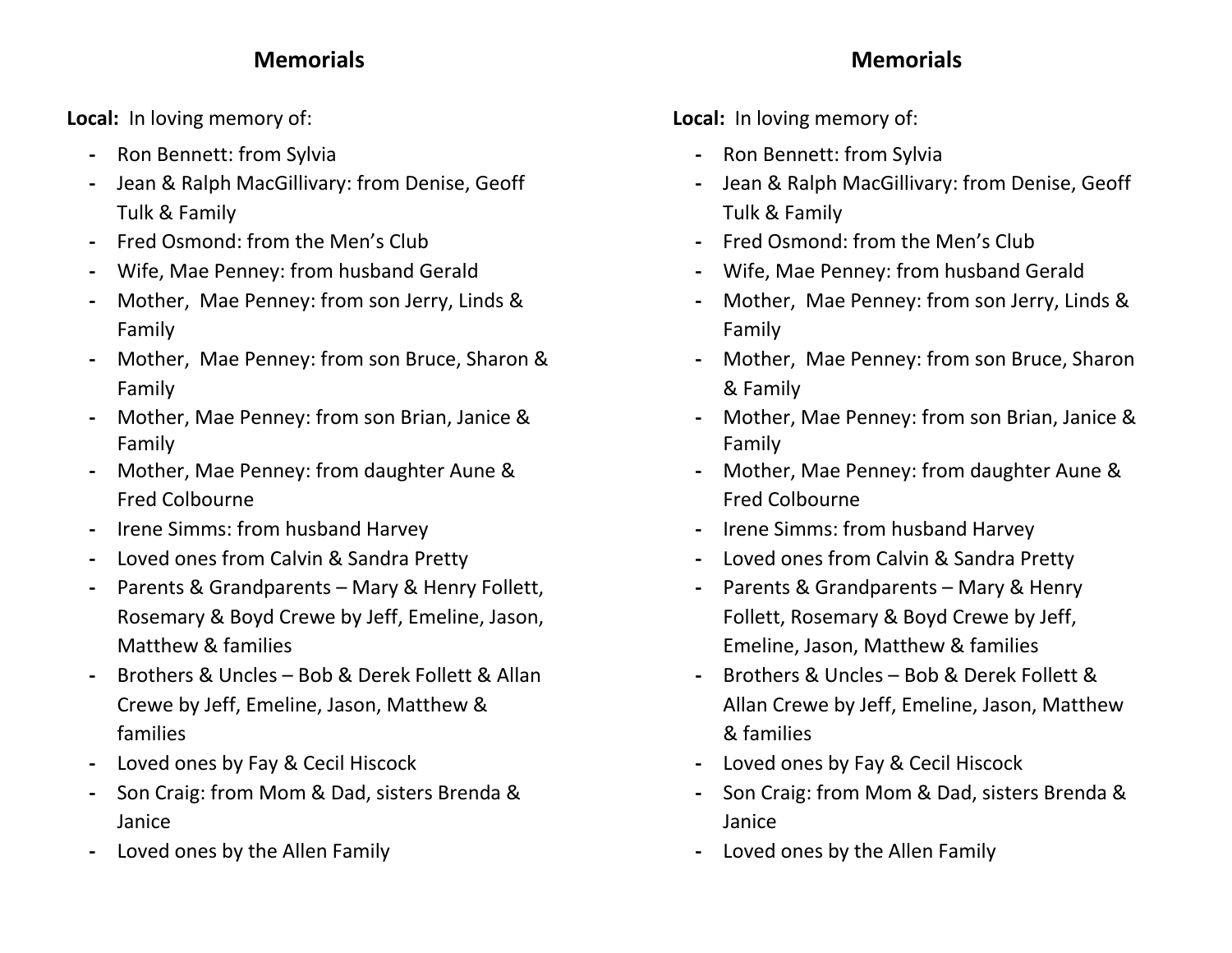# **Memorials**

**Local:** In loving memory of:

- **-** Ron Bennett: from Sylvia
- **-** Jean & Ralph MacGillivary: from Denise, Geoff Tulk & Family
- **-** Fred Osmond: from the Men's Club
- **-** Wife, Mae Penney: from husband Gerald
- **-** Mother, Mae Penney: from son Jerry, Linds & Family
- **-** Mother, Mae Penney: from son Bruce, Sharon & Family
- **-** Mother, Mae Penney: from son Brian, Janice & Family
- **-** Mother, Mae Penney: from daughter Aune & Fred Colbourne
- **-** Irene Simms: from husband Harvey
- **-** Loved ones from Calvin & Sandra Pretty
- **-** Parents & Grandparents Mary & Henry Follett, Rosemary & Boyd Crewe by Jeff, Emeline, Jason, Matthew & families
- **-** Brothers & Uncles Bob & Derek Follett & Allan Crewe by Jeff, Emeline, Jason, Matthew & families
- **-** Loved ones by Fay & Cecil Hiscock
- **-** Son Craig: from Mom & Dad, sisters Brenda & Janice
- **-** Loved ones by the Allen Family

**Local:** In loving memory of:

- **-** Ron Bennett: from Sylvia
- **-** Jean & Ralph MacGillivary: from Denise, Geoff Tulk & Family
- **-** Fred Osmond: from the Men's Club
- **-** Wife, Mae Penney: from husband Gerald
- **-** Mother, Mae Penney: from son Jerry, Linds & Family
- **-** Mother, Mae Penney: from son Bruce, Sharon & Family
- **-** Mother, Mae Penney: from son Brian, Janice & Family
- **-** Mother, Mae Penney: from daughter Aune & Fred Colbourne
- **-** Irene Simms: from husband Harvey
- **-** Loved ones from Calvin & Sandra Pretty
- **-** Parents & Grandparents Mary & Henry Follett, Rosemary & Boyd Crewe by Jeff, Emeline, Jason, Matthew & families
- **-** Brothers & Uncles Bob & Derek Follett & Allan Crewe by Jeff, Emeline, Jason, Matthew & families
- **-** Loved ones by Fay & Cecil Hiscock
- **-** Son Craig: from Mom & Dad, sisters Brenda & Janice
- **-** Loved ones by the Allen Family

# **Memorials**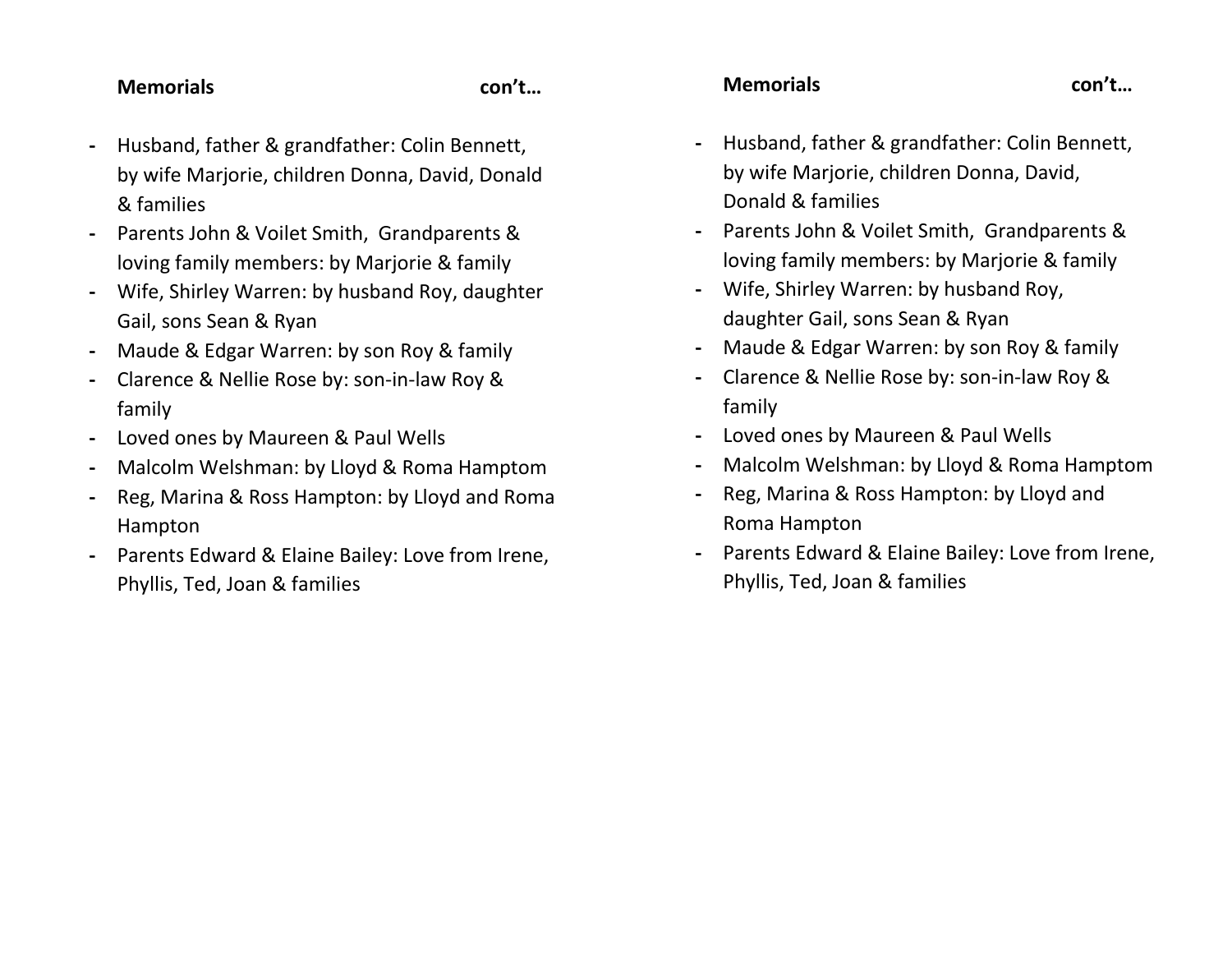#### **Memorials con't…**

- **-** Husband, father & grandfather: Colin Bennett, by wife Marjorie, children Donna, David, Donald & families
- **-** Parents John & Voilet Smith, Grandparents & loving family members: by Marjorie & family
- **-** Wife, Shirley Warren: by husband Roy, daughter Gail, sons Sean & Ryan
- **-** Maude & Edgar Warren: by son Roy & family
- **-** Clarence & Nellie Rose by: son-in-law Roy & family
- **-** Loved ones by Maureen & Paul Wells
- **-** Malcolm Welshman: by Lloyd & Roma Hamptom
- **-** Reg, Marina & Ross Hampton: by Lloyd and Roma Hampton
- **-** Parents Edward & Elaine Bailey: Love from Irene, Phyllis, Ted, Joan & families

#### **Memorials con't…**

- **-** Husband, father & grandfather: Colin Bennett, by wife Marjorie, children Donna, David, Donald & families
- **-** Parents John & Voilet Smith, Grandparents & loving family members: by Marjorie & family
- **-** Wife, Shirley Warren: by husband Roy, daughter Gail, sons Sean & Ryan
- **-** Maude & Edgar Warren: by son Roy & family
- **-** Clarence & Nellie Rose by: son-in-law Roy & family
- **-** Loved ones by Maureen & Paul Wells
- **-** Malcolm Welshman: by Lloyd & Roma Hamptom
- **-** Reg, Marina & Ross Hampton: by Lloyd and Roma Hampton
- **-** Parents Edward & Elaine Bailey: Love from Irene, Phyllis, Ted, Joan & families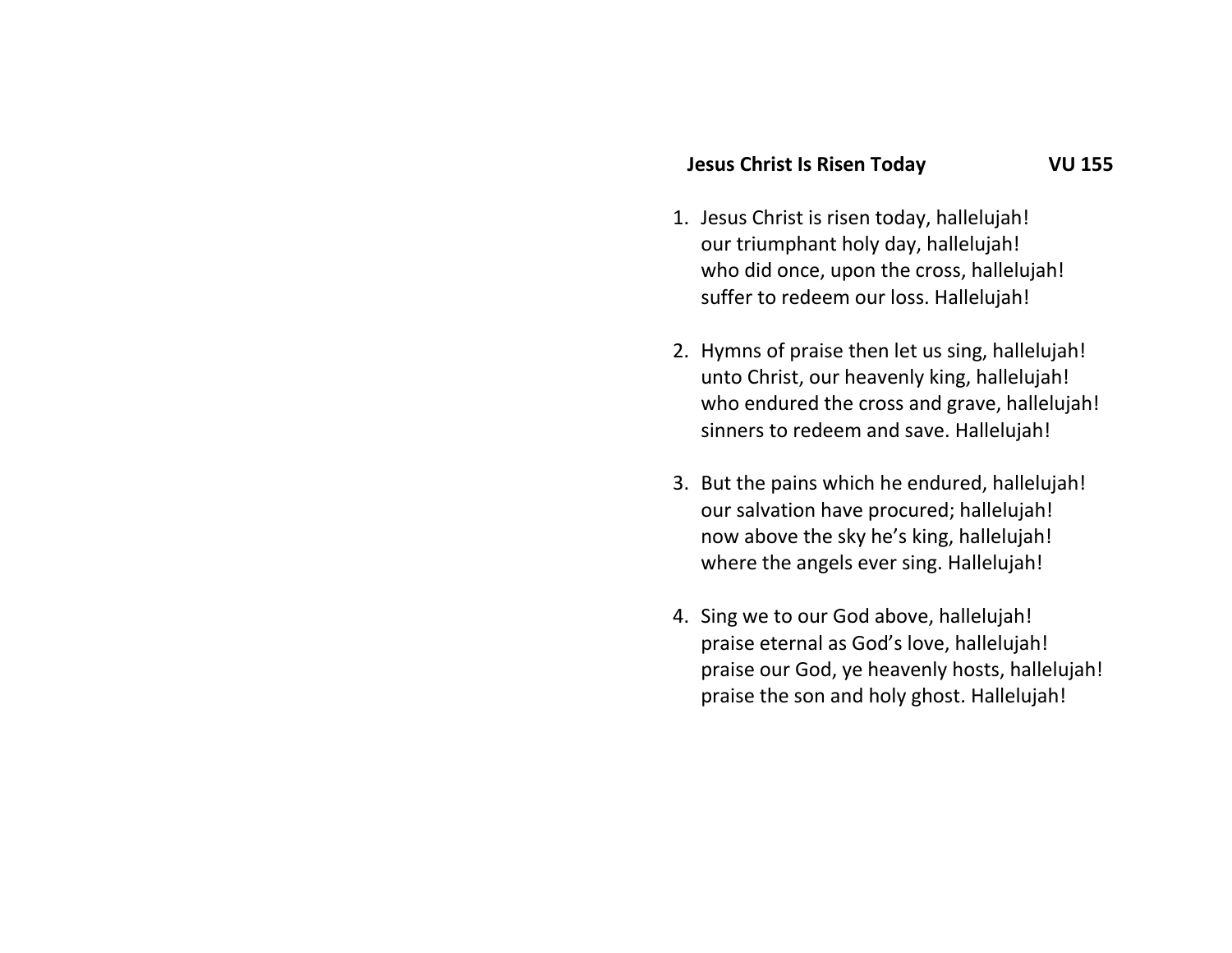#### **Jesus Christ Is Risen Today VU 155**

- 1. Jesus Christ is risen today, hallelujah! our triumphant holy day, hallelujah! who did once, upon the cross, hallelujah! suffer to redeem our loss. Hallelujah!
- 2. Hymns of praise then let us sing, hallelujah! unto Christ, our heavenly king, hallelujah! who endured the cross and grave, hallelujah! sinners to redeem and save. Hallelujah!
- 3. But the pains which he endured, hallelujah! our salvation have procured; hallelujah! now above the sky he's king, hallelujah! where the angels ever sing. Hallelujah!
- 4. Sing we to our God above, hallelujah! praise eternal as God's love, hallelujah! praise our God, ye heavenly hosts, hallelujah! praise the son and holy ghost. Hallelujah!